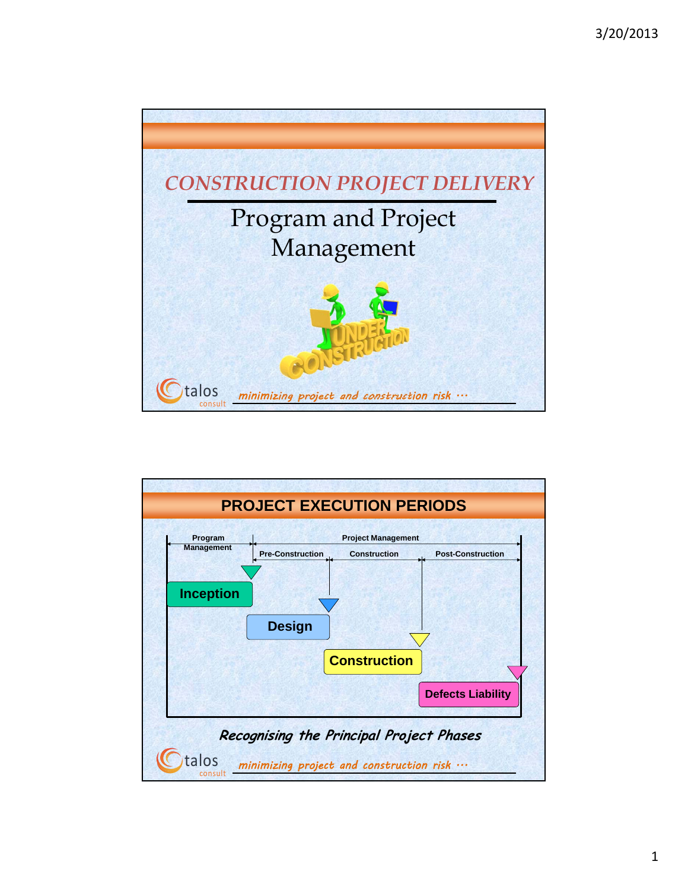

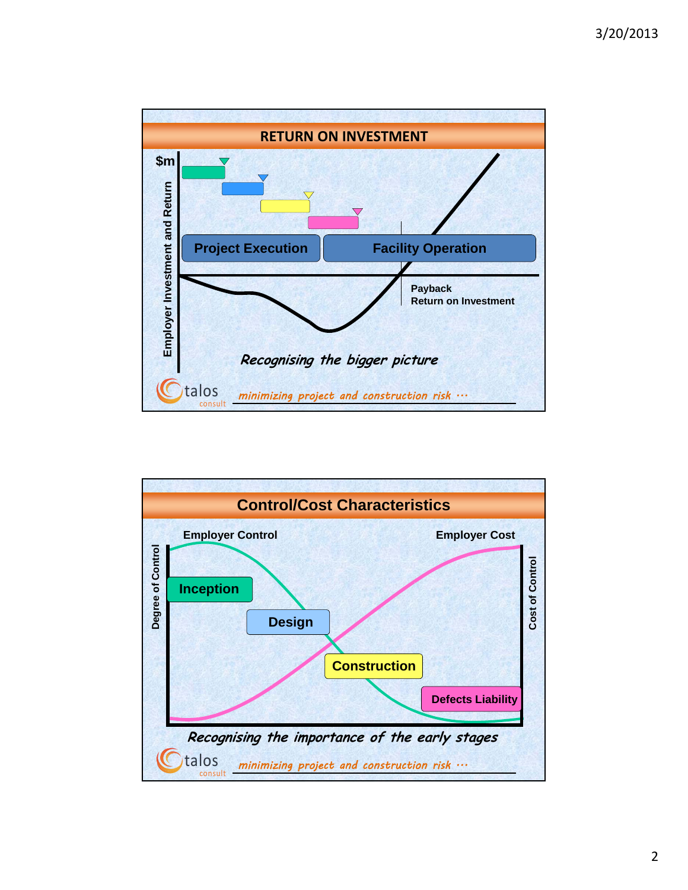

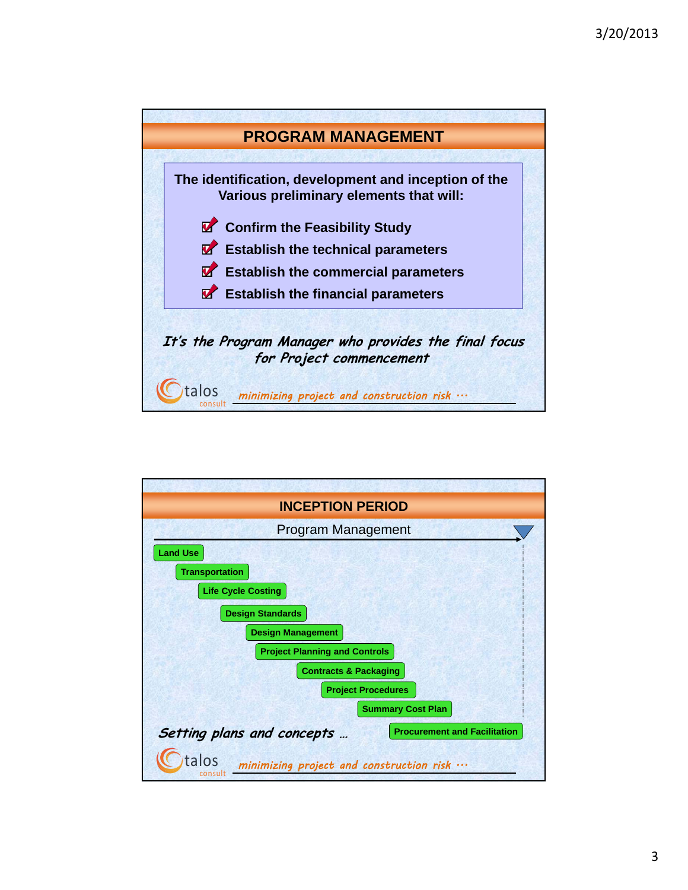

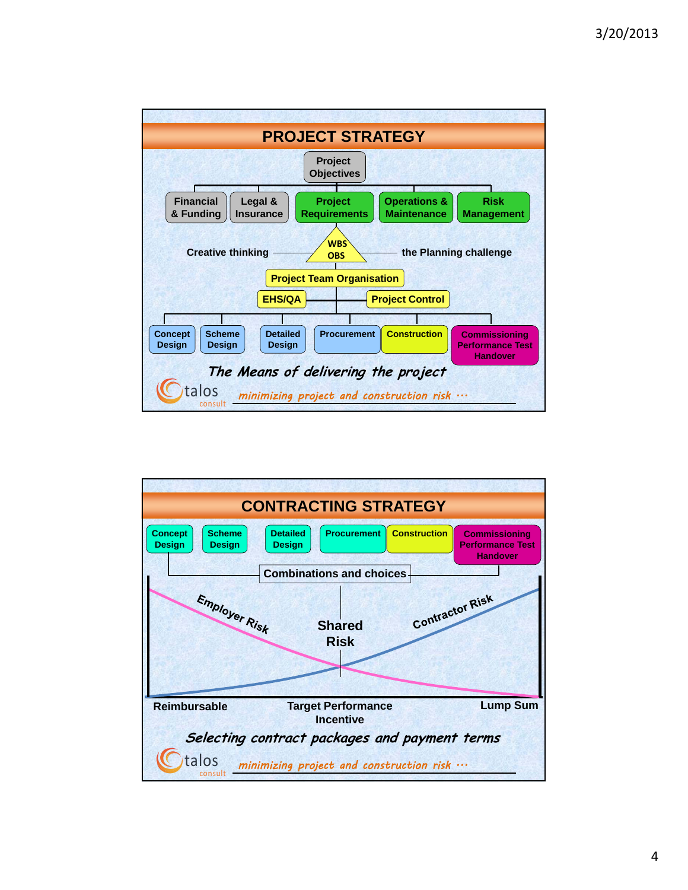

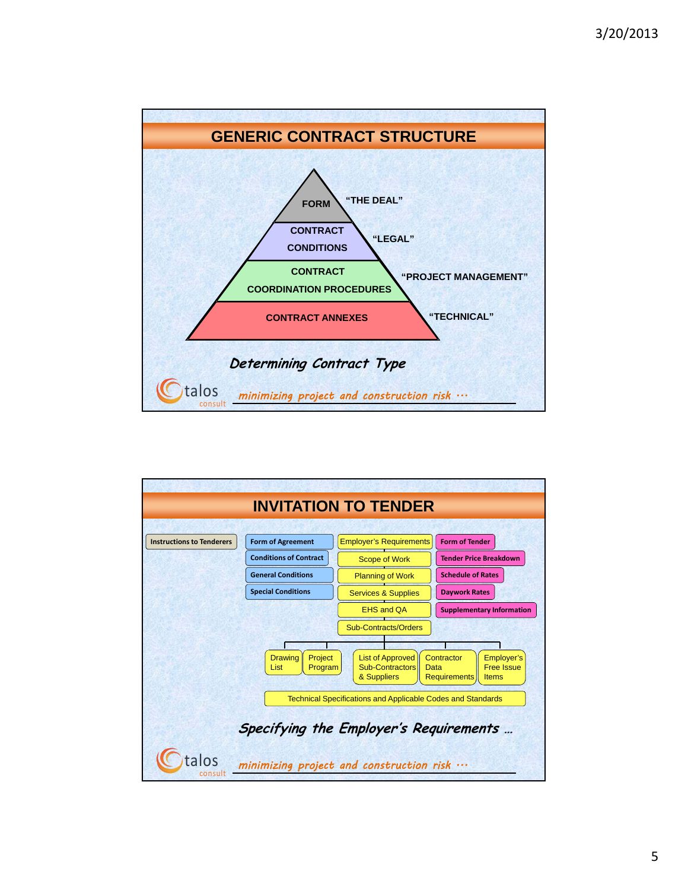

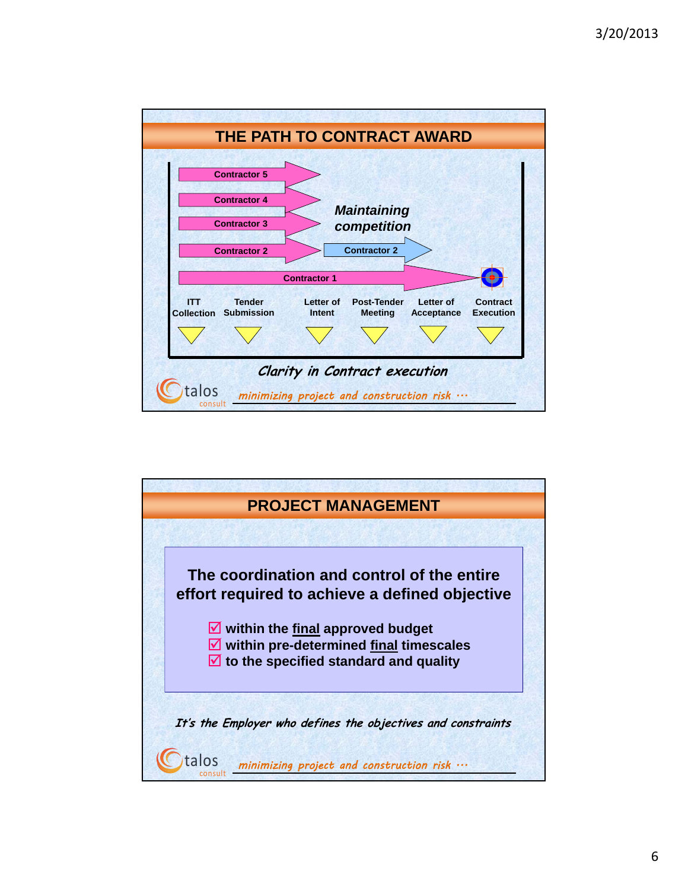

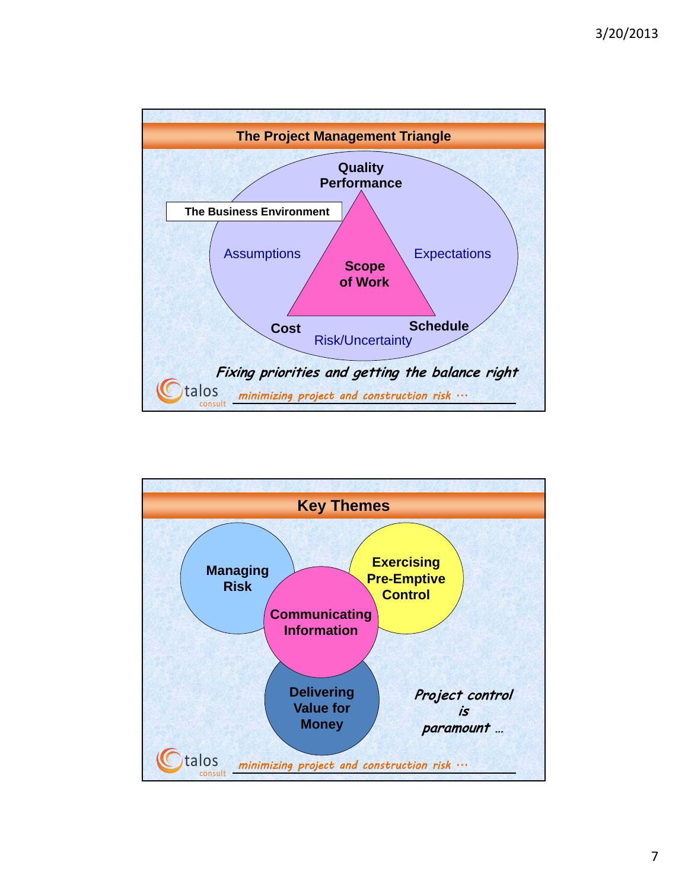

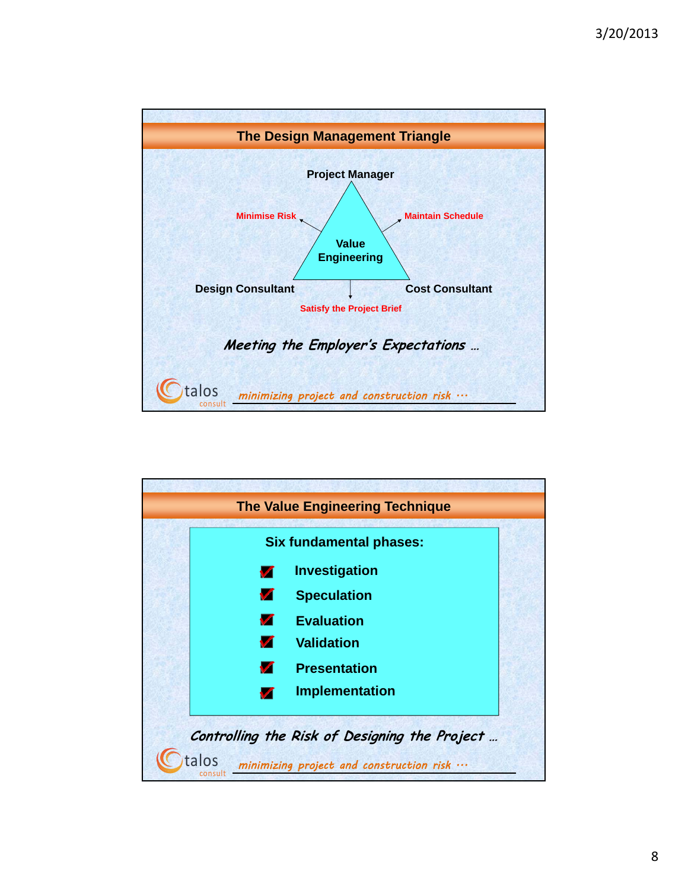

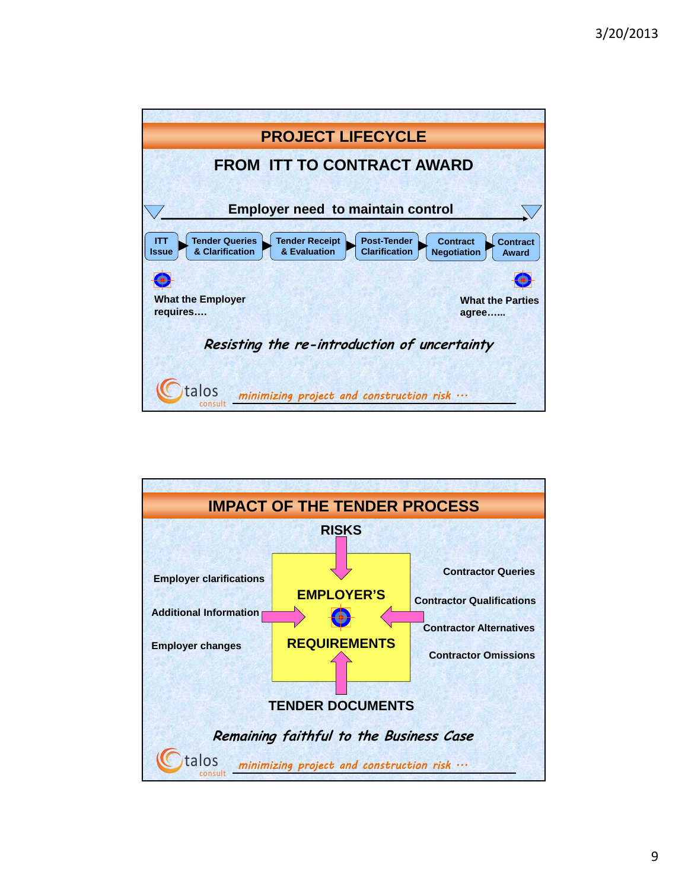

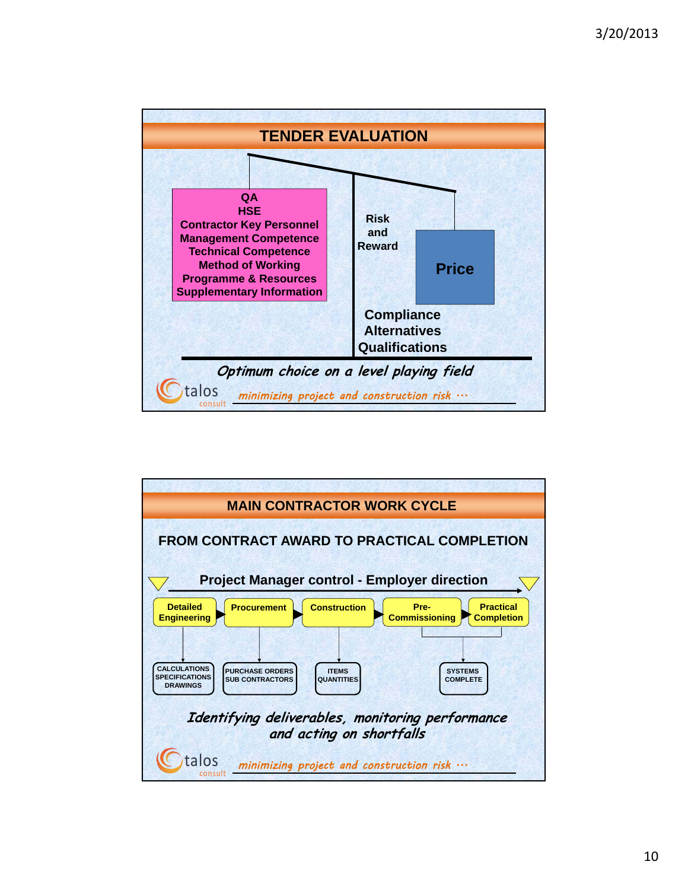

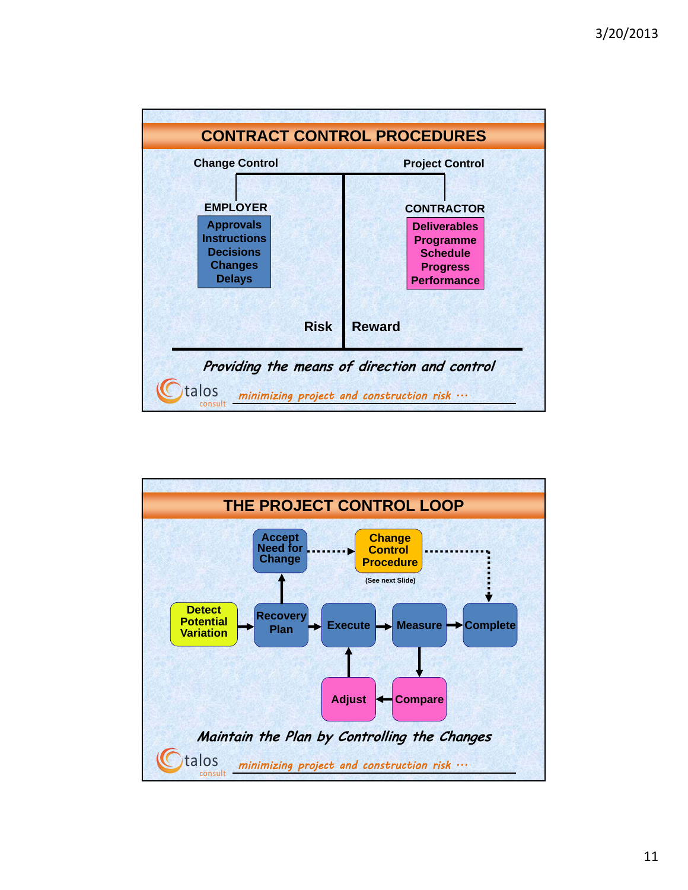

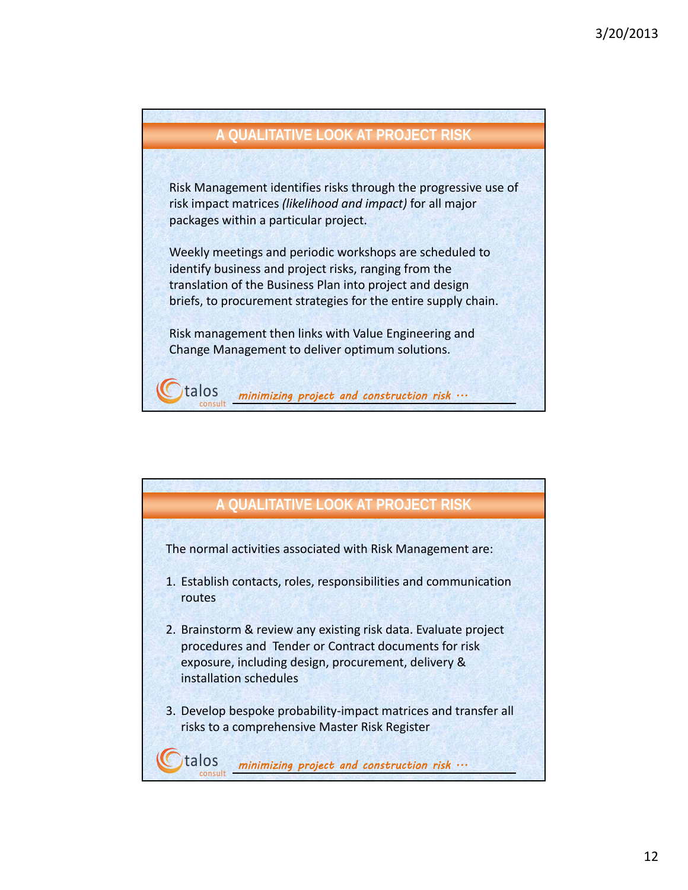

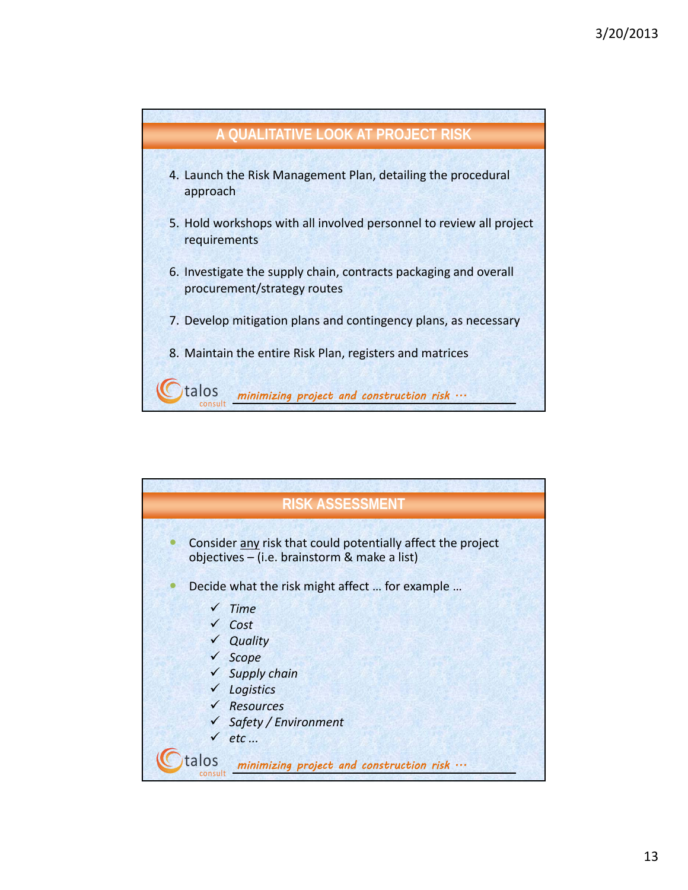

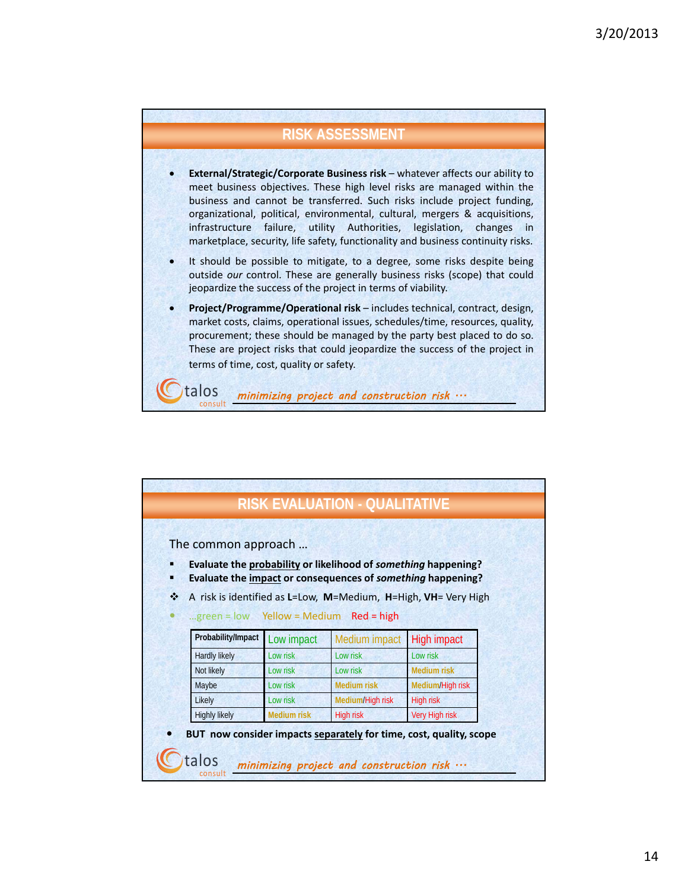## **RISK ASSESSMENT**

- **External/Strategic/Corporate Business risk** whatever affects our ability to meet business objectives. These high level risks are managed within the business and cannot be transferred. Such risks include project funding, organizational, political, environmental, cultural, mergers & acquisitions, infrastructure failure, utility Authorities, legislation, changes in marketplace, security, life safety, functionality and business continuity risks.
- It should be possible to mitigate, to a degree, some risks despite being outside *our* control. These are generally business risks (scope) that could jeopardize the success of the project in terms of viability.
- **Project/Programme/Operational risk** includes technical, contract, design, market costs, claims, operational issues, schedules/time, resources, quality, procurement; these should be managed by the party best placed to do so. These are project risks that could jeopardize the success of the project in terms of time, cost, quality or safety.

minimizing project and construction risk  $\cdots$ 

talos

talos minimizing project and construction risk  $\cdots$ **RISK EVALUATION - QUALITATIVE** The common approach … **Evaluate the probability or likelihood of** *something* **happening? Evaluate the impact or consequences of** *something* **happening?** A risk is identified as **L**=Low, **M**=Medium, **H**=High, **VH**= Very High …green = low Yellow = Medium Red = high Probability/Impact Low impact Medium impact High impact Hardly likely Low risk Low risk Low risk Low risk Not likely **Low risk** Low risk **Low risk** Low risk **Medium risk** Maybe Low risk **Medium risk Medium**/High risk Likely Low risk **Medium/High risk High risk** Highly likely **Medium risk** High risk Very High risk **BUT now consider impacts separately for time, cost, quality, scope**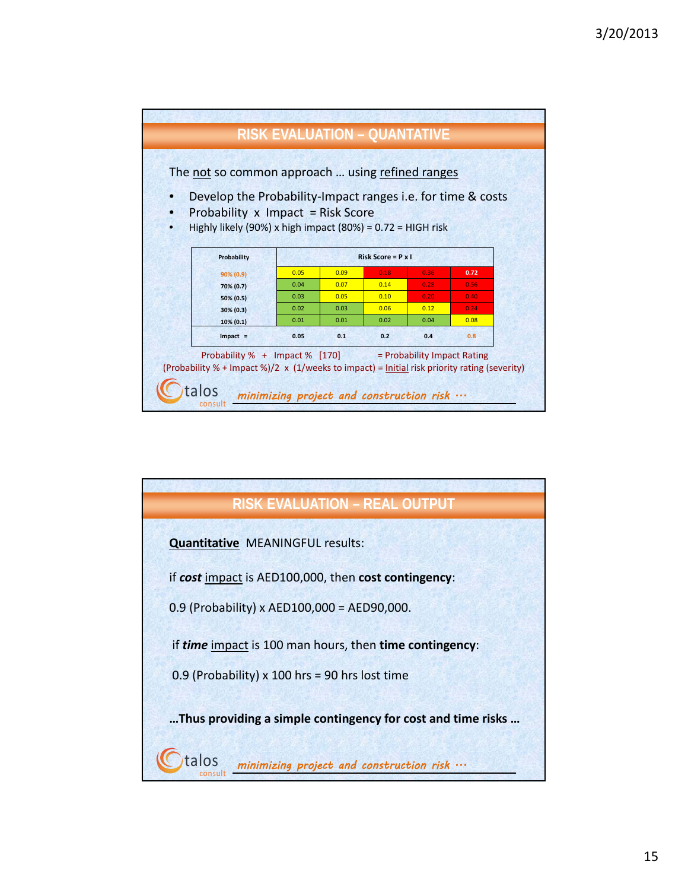

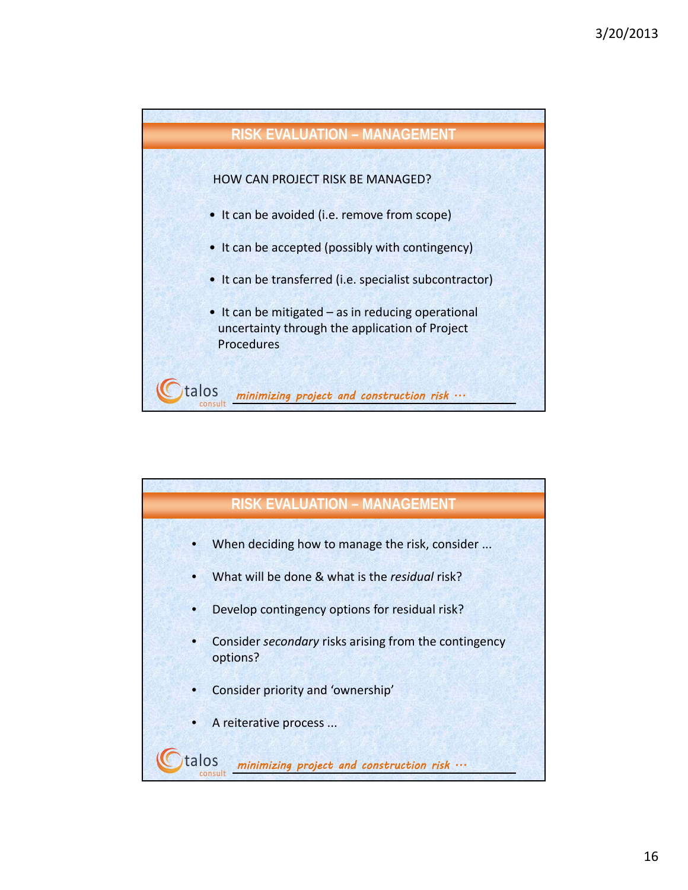

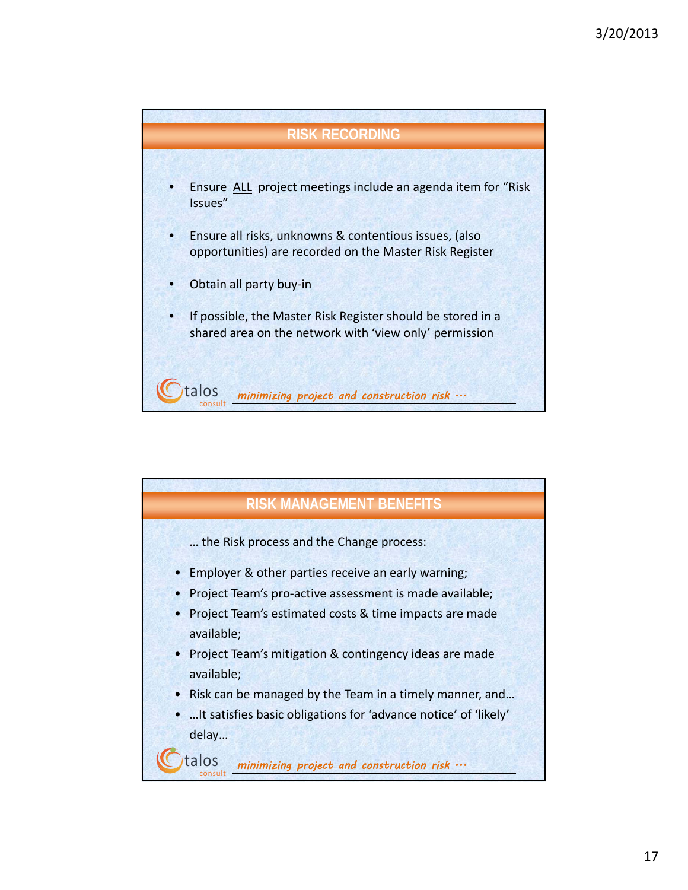

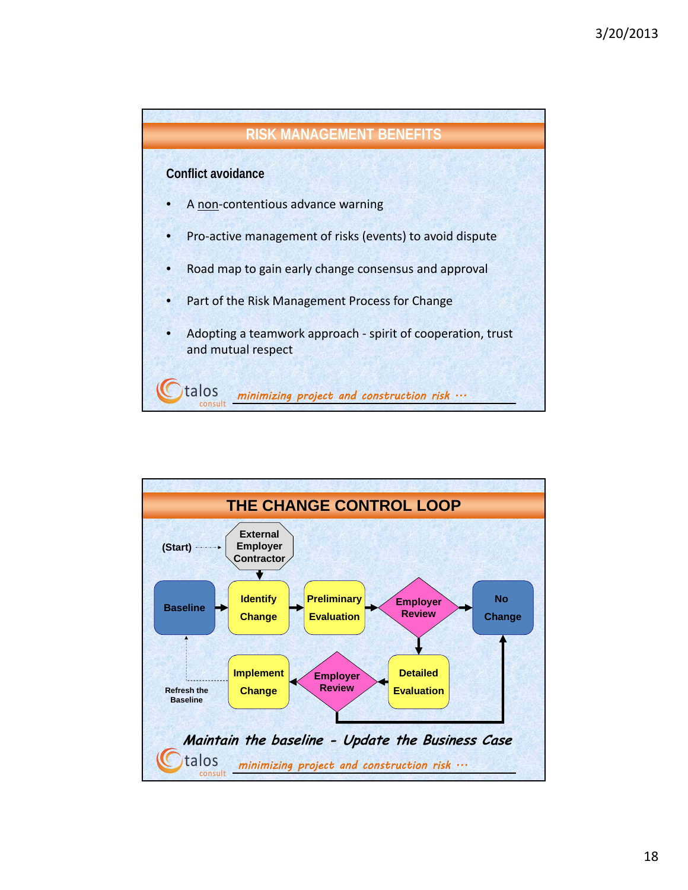

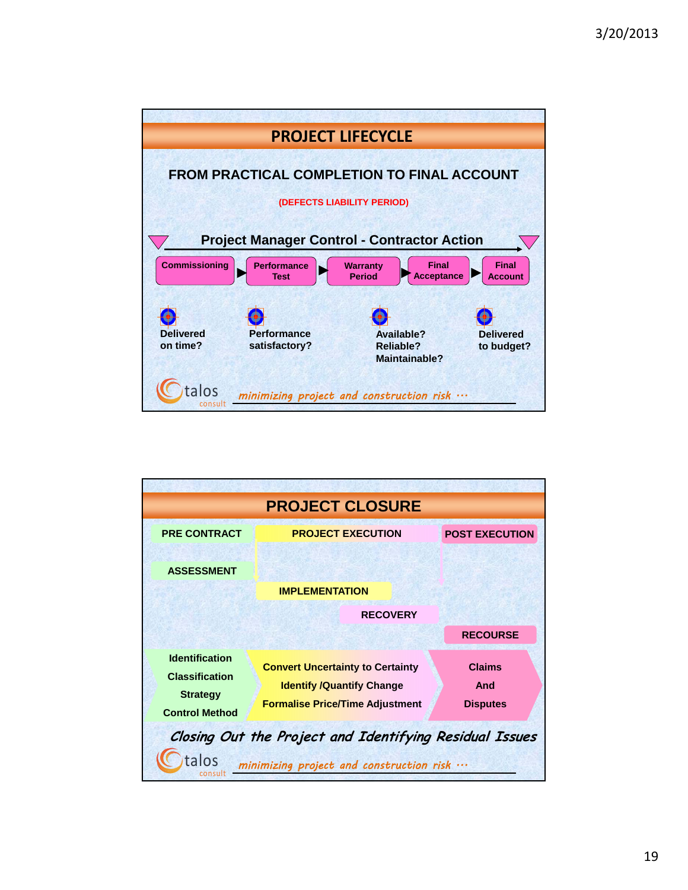

| <b>PROJECT CLOSURE</b>                                                                                                        |                                                                                                                       |                                         |
|-------------------------------------------------------------------------------------------------------------------------------|-----------------------------------------------------------------------------------------------------------------------|-----------------------------------------|
| <b>PRE CONTRACT</b>                                                                                                           | <b>PROJECT EXECUTION</b>                                                                                              | <b>POST EXECUTION</b>                   |
| <b>ASSESSMENT</b>                                                                                                             |                                                                                                                       |                                         |
|                                                                                                                               | <b>IMPLEMENTATION</b>                                                                                                 |                                         |
| <b>RECOVERY</b>                                                                                                               |                                                                                                                       |                                         |
|                                                                                                                               |                                                                                                                       | <b>RECOURSE</b>                         |
| <b>Identification</b><br><b>Classification</b><br><b>Strategy</b><br><b>Control Method</b>                                    | <b>Convert Uncertainty to Certainty</b><br><b>Identify /Quantify Change</b><br><b>Formalise Price/Time Adjustment</b> | <b>Claims</b><br>And<br><b>Disputes</b> |
| Closing Out the Project and Identifying Residual Issues<br>alos<br>minimizing project and construction risk $\cdots$<br>consu |                                                                                                                       |                                         |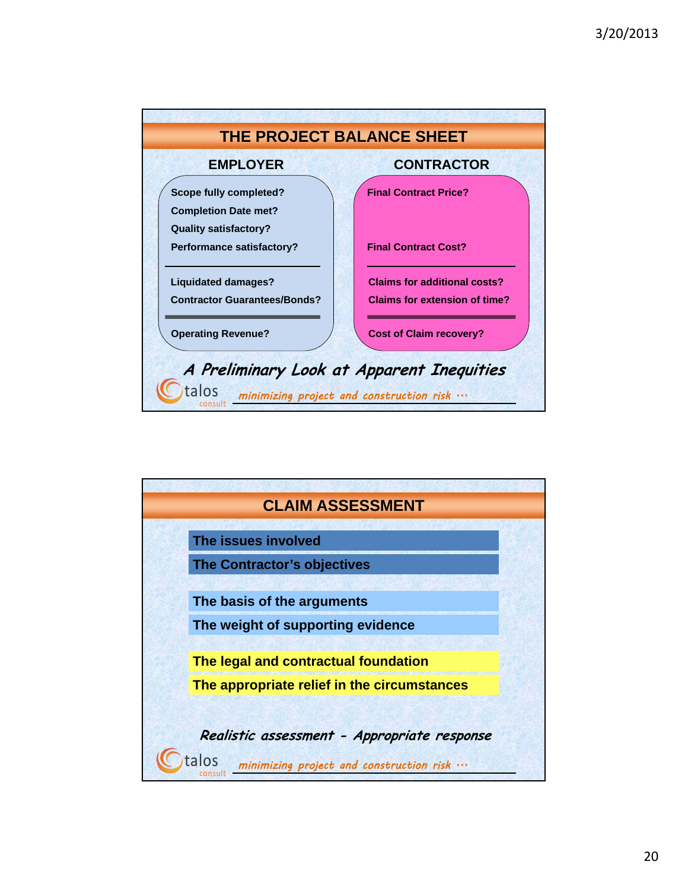